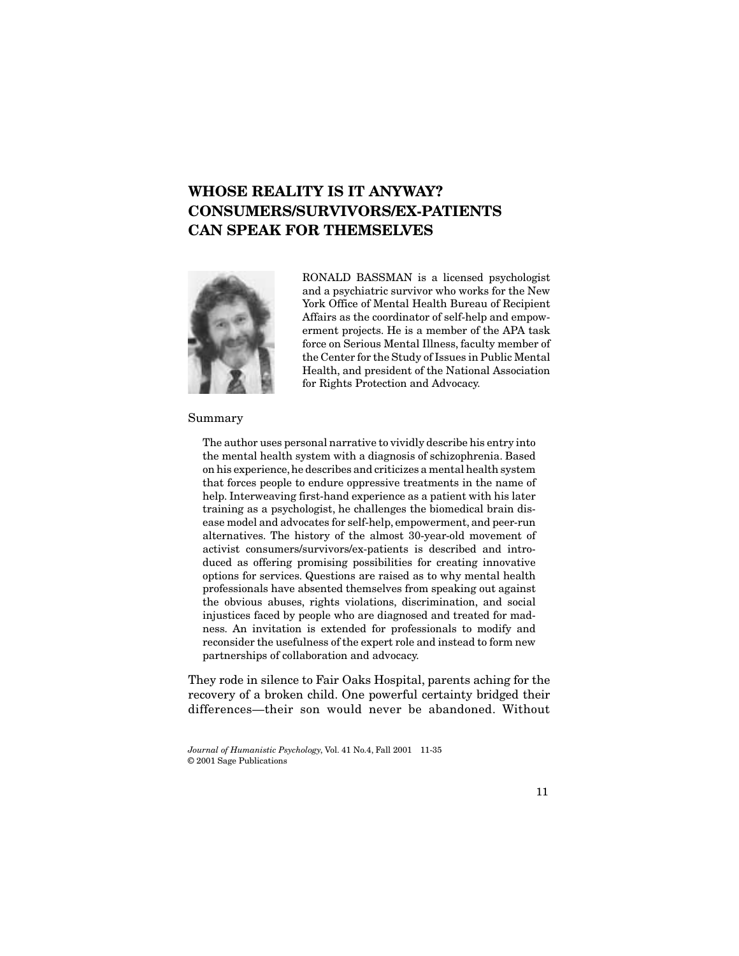# **WHOSE REALITY IS IT ANYWAY? CONSUMERS/SURVIVORS/EX-PATIENTS CAN SPEAK FOR THEMSELVES**



RONALD BASSMAN is a licensed psychologist and a psychiatric survivor who works for the New York Office of Mental Health Bureau of Recipient Affairs as the coordinator of self-help and empowerment projects. He is a member of the APA task force on Serious Mental Illness, faculty member of the Center for the Study of Issues in Public Mental Health, and president of the National Association for Rights Protection and Advocacy.

### Summary

The author uses personal narrative to vividly describe his entry into the mental health system with a diagnosis of schizophrenia. Based on his experience,he describes and criticizes a mental health system that forces people to endure oppressive treatments in the name of help. Interweaving first-hand experience as a patient with his later training as a psychologist, he challenges the biomedical brain disease model and advocates for self-help, empowerment, and peer-run alternatives. The history of the almost 30-year-old movement of activist consumers/survivors/ex-patients is described and introduced as offering promising possibilities for creating innovative options for services. Questions are raised as to why mental health professionals have absented themselves from speaking out against the obvious abuses, rights violations, discrimination, and social injustices faced by people who are diagnosed and treated for madness. An invitation is extended for professionals to modify and reconsider the usefulness of the expert role and instead to form new partnerships of collaboration and advocacy.

They rode in silence to Fair Oaks Hospital, parents aching for the recovery of a broken child. One powerful certainty bridged their differences—their son would never be abandoned. Without

*Journal of Humanistic Psychology*, Vol. 41 No.4, Fall 2001 11-35 © 2001 Sage Publications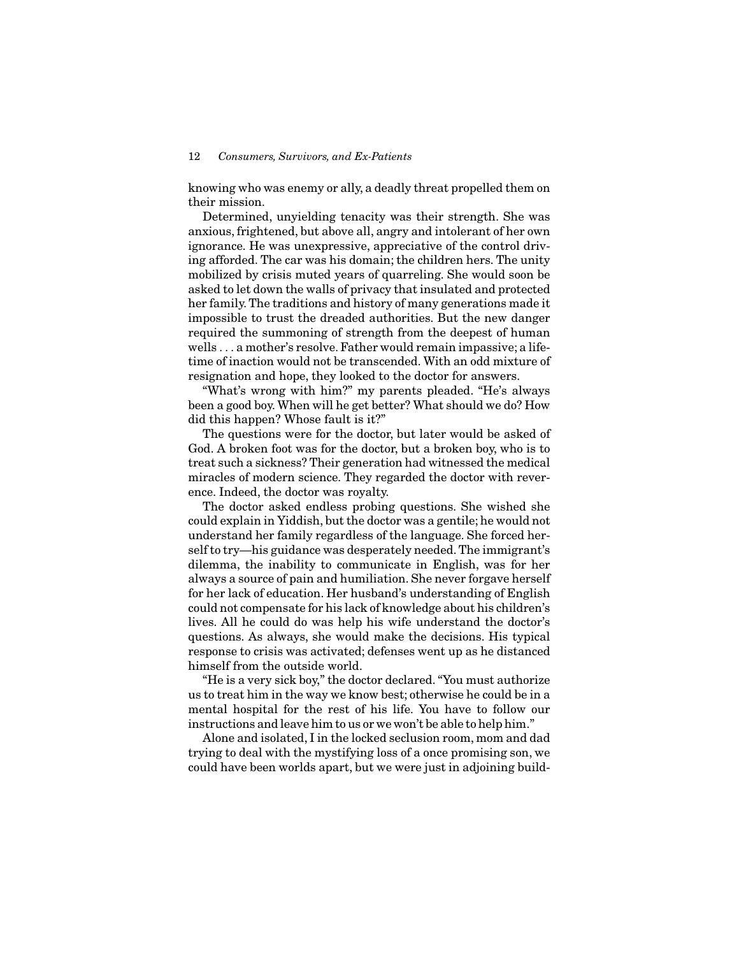knowing who was enemy or ally, a deadly threat propelled them on their mission.

Determined, unyielding tenacity was their strength. She was anxious, frightened, but above all, angry and intolerant of her own ignorance. He was unexpressive, appreciative of the control driving afforded. The car was his domain; the children hers. The unity mobilized by crisis muted years of quarreling. She would soon be asked to let down the walls of privacy that insulated and protected her family. The traditions and history of many generations made it impossible to trust the dreaded authorities. But the new danger required the summoning of strength from the deepest of human wells ...a mother's resolve. Father would remain impassive; a lifetime of inaction would not be transcended. With an odd mixture of resignation and hope, they looked to the doctor for answers.

"What's wrong with him?" my parents pleaded. "He's always been a good boy. When will he get better? What should we do? How did this happen? Whose fault is it?"

The questions were for the doctor, but later would be asked of God. A broken foot was for the doctor, but a broken boy, who is to treat such a sickness? Their generation had witnessed the medical miracles of modern science. They regarded the doctor with reverence. Indeed, the doctor was royalty.

The doctor asked endless probing questions. She wished she could explain in Yiddish, but the doctor was a gentile; he would not understand her family regardless of the language. She forced herself to try—his guidance was desperately needed. The immigrant's dilemma, the inability to communicate in English, was for her always a source of pain and humiliation. She never forgave herself for her lack of education. Her husband's understanding of English could not compensate for his lack of knowledge about his children's lives. All he could do was help his wife understand the doctor's questions. As always, she would make the decisions. His typical response to crisis was activated; defenses went up as he distanced himself from the outside world.

"He is a very sick boy," the doctor declared. "You must authorize us to treat him in the way we know best; otherwise he could be in a mental hospital for the rest of his life. You have to follow our instructions and leave him to us or we won't be able to help him."

Alone and isolated, I in the locked seclusion room, mom and dad trying to deal with the mystifying loss of a once promising son, we could have been worlds apart, but we were just in adjoining build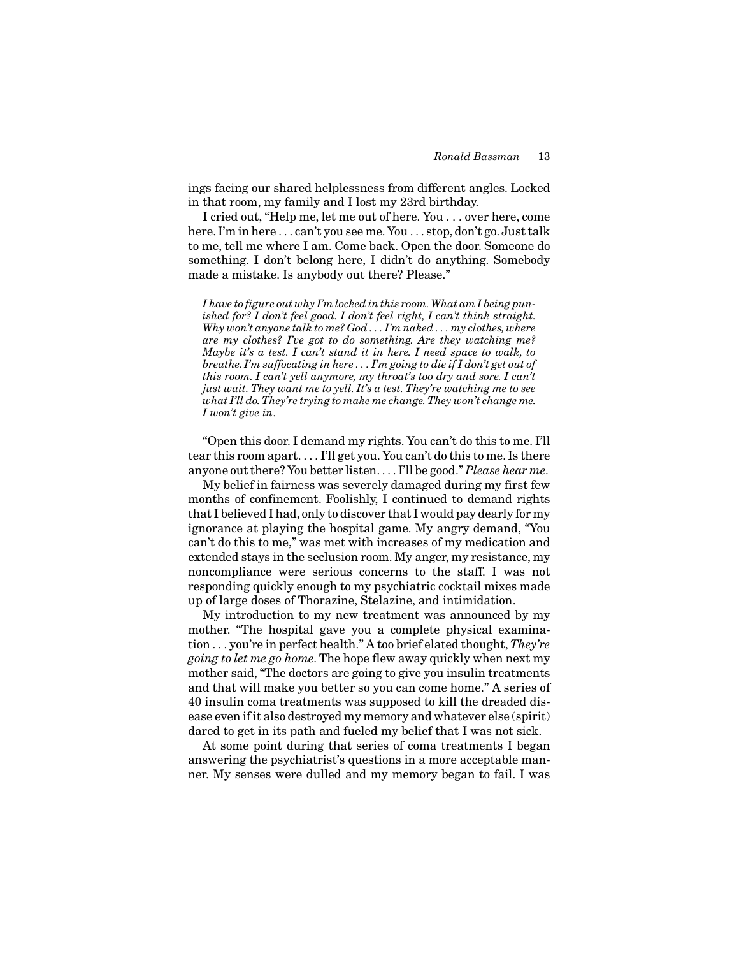ings facing our shared helplessness from different angles. Locked in that room, my family and I lost my 23rd birthday.

I cried out, "Help me, let me out of here. You . . . over here, come here. I'm in here . . . can't you see me. You . . . stop, don't go. Just talk to me, tell me where I am. Come back. Open the door. Someone do something. I don't belong here, I didn't do anything. Somebody made a mistake. Is anybody out there? Please."

*I have to figure out why I'm locked in this room.What am I being punished for? I don't feel good. I don't feel right, I can't think straight. Why won't anyone talk to me? God . . . I'm naked . . . my clothes, where are my clothes? I've got to do something. Are they watching me? Maybe it's a test. I can't stand it in here. I need space to walk, to breathe. I'm suffocating in here . . . I'm going to die if I don't get out of this room. I can't yell anymore, my throat's too dry and sore. I can't just wait. They want me to yell. It's a test. They're watching me to see what I'll do. They're trying to make me change. They won't change me. I won't give in*.

"Open this door. I demand my rights. You can't do this to me. I'll tear this room apart. . . . I'll get you. You can't do this to me. Is there anyone out there? You better listen. . . . I'll be good." *Please hear me*.

My belief in fairness was severely damaged during my first few months of confinement. Foolishly, I continued to demand rights that I believed I had,only to discover that I would pay dearly for my ignorance at playing the hospital game. My angry demand, "You can't do this to me," was met with increases of my medication and extended stays in the seclusion room. My anger, my resistance, my noncompliance were serious concerns to the staff. I was not responding quickly enough to my psychiatric cocktail mixes made up of large doses of Thorazine, Stelazine, and intimidation.

My introduction to my new treatment was announced by my mother. "The hospital gave you a complete physical examination . . . you're in perfect health." A too brief elated thought,*They're going to let me go home*. The hope flew away quickly when next my mother said, "The doctors are going to give you insulin treatments and that will make you better so you can come home." A series of 40 insulin coma treatments was supposed to kill the dreaded disease even if it also destroyed my memory and whatever else (spirit) dared to get in its path and fueled my belief that I was not sick.

At some point during that series of coma treatments I began answering the psychiatrist's questions in a more acceptable manner. My senses were dulled and my memory began to fail. I was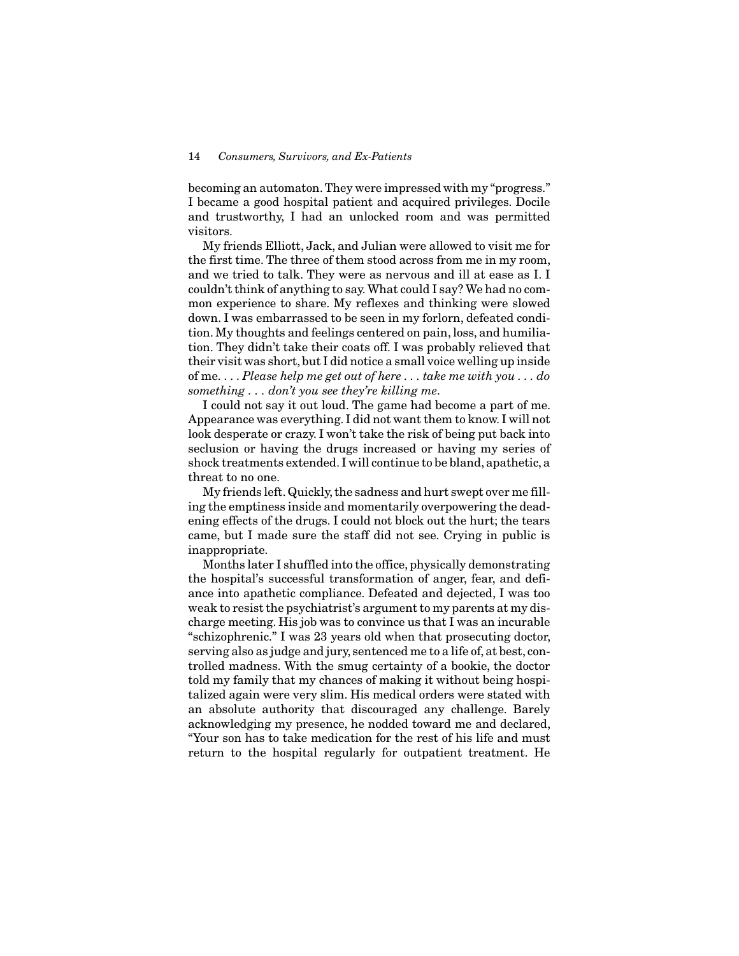becoming an automaton. They were impressed with my "progress." I became a good hospital patient and acquired privileges. Docile and trustworthy, I had an unlocked room and was permitted visitors.

My friends Elliott, Jack, and Julian were allowed to visit me for the first time. The three of them stood across from me in my room, and we tried to talk. They were as nervous and ill at ease as I. I couldn't think of anything to say. What could I say? We had no common experience to share. My reflexes and thinking were slowed down. I was embarrassed to be seen in my forlorn, defeated condition. My thoughts and feelings centered on pain, loss, and humiliation. They didn't take their coats off. I was probably relieved that their visit was short, but I did notice a small voice welling up inside of me. . . . *Please help me get out of here . . . take me with you . . . do something . . . don't you see they're killing me*.

I could not say it out loud. The game had become a part of me. Appearance was everything. I did not want them to know. I will not look desperate or crazy. I won't take the risk of being put back into seclusion or having the drugs increased or having my series of shock treatments extended. I will continue to be bland, apathetic, a threat to no one.

My friends left. Quickly, the sadness and hurt swept over me filling the emptiness inside and momentarily overpowering the deadening effects of the drugs. I could not block out the hurt; the tears came, but I made sure the staff did not see. Crying in public is inappropriate.

Months later I shuffled into the office, physically demonstrating the hospital's successful transformation of anger, fear, and defiance into apathetic compliance. Defeated and dejected, I was too weak to resist the psychiatrist's argument to my parents at my discharge meeting. His job was to convince us that I was an incurable "schizophrenic." I was 23 years old when that prosecuting doctor, serving also as judge and jury, sentenced me to a life of, at best, controlled madness. With the smug certainty of a bookie, the doctor told my family that my chances of making it without being hospitalized again were very slim. His medical orders were stated with an absolute authority that discouraged any challenge. Barely acknowledging my presence, he nodded toward me and declared, "Your son has to take medication for the rest of his life and must return to the hospital regularly for outpatient treatment. He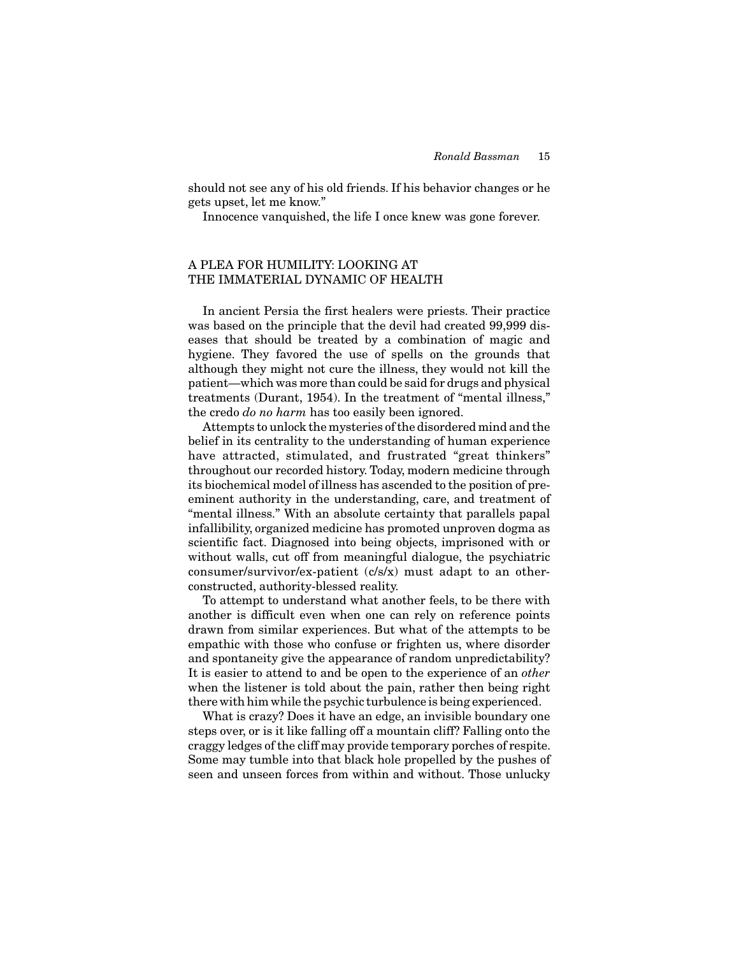should not see any of his old friends. If his behavior changes or he gets upset, let me know."

Innocence vanquished, the life I once knew was gone forever.

# A PLEA FOR HUMILITY: LOOKING AT THE IMMATERIAL DYNAMIC OF HEALTH

In ancient Persia the first healers were priests. Their practice was based on the principle that the devil had created 99,999 diseases that should be treated by a combination of magic and hygiene. They favored the use of spells on the grounds that although they might not cure the illness, they would not kill the patient—which was more than could be said for drugs and physical treatments (Durant, 1954). In the treatment of "mental illness," the credo *do no harm* has too easily been ignored.

Attempts to unlock the mysteries of the disordered mind and the belief in its centrality to the understanding of human experience have attracted, stimulated, and frustrated "great thinkers" throughout our recorded history. Today, modern medicine through its biochemical model of illness has ascended to the position of preeminent authority in the understanding, care, and treatment of "mental illness." With an absolute certainty that parallels papal infallibility, organized medicine has promoted unproven dogma as scientific fact. Diagnosed into being objects, imprisoned with or without walls, cut off from meaningful dialogue, the psychiatric consumer/survivor/ex-patient (c/s/x) must adapt to an otherconstructed, authority-blessed reality.

To attempt to understand what another feels, to be there with another is difficult even when one can rely on reference points drawn from similar experiences. But what of the attempts to be empathic with those who confuse or frighten us, where disorder and spontaneity give the appearance of random unpredictability? It is easier to attend to and be open to the experience of an *other* when the listener is told about the pain, rather then being right there with him while the psychic turbulence is being experienced.

What is crazy? Does it have an edge, an invisible boundary one steps over, or is it like falling off a mountain cliff? Falling onto the craggy ledges of the cliff may provide temporary porches of respite. Some may tumble into that black hole propelled by the pushes of seen and unseen forces from within and without. Those unlucky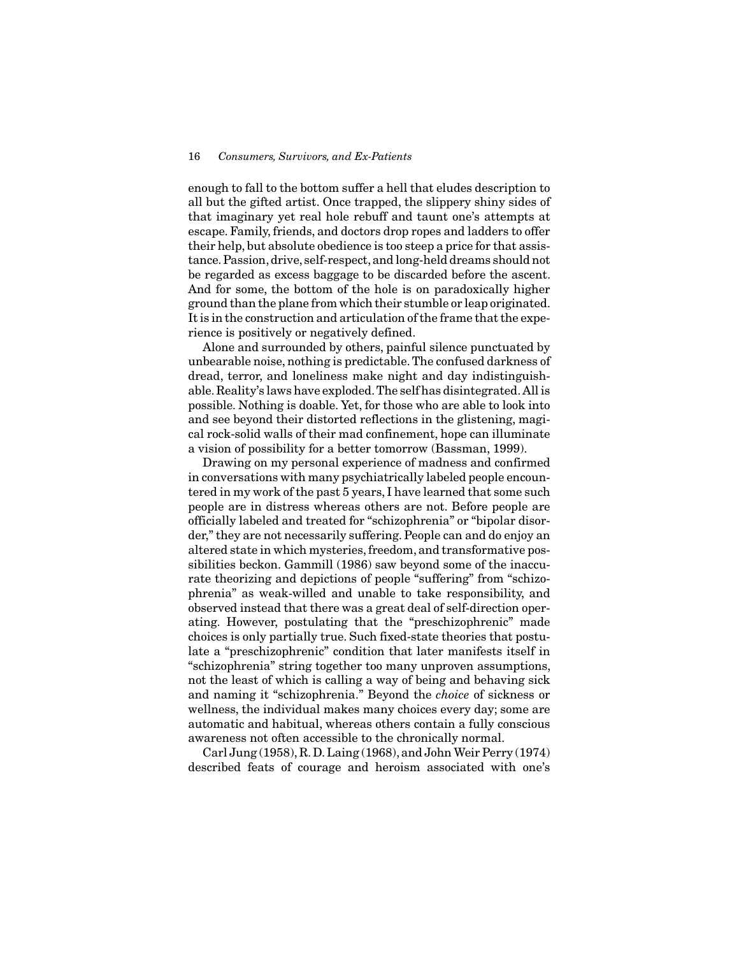enough to fall to the bottom suffer a hell that eludes description to all but the gifted artist. Once trapped, the slippery shiny sides of that imaginary yet real hole rebuff and taunt one's attempts at escape. Family, friends, and doctors drop ropes and ladders to offer their help, but absolute obedience is too steep a price for that assistance.Passion,drive,self-respect,and long-held dreams should not be regarded as excess baggage to be discarded before the ascent. And for some, the bottom of the hole is on paradoxically higher ground than the plane from which their stumble or leap originated. It is in the construction and articulation of the frame that the experience is positively or negatively defined.

Alone and surrounded by others, painful silence punctuated by unbearable noise, nothing is predictable. The confused darkness of dread, terror, and loneliness make night and day indistinguishable.Reality's laws have exploded.The self has disintegrated.All is possible. Nothing is doable. Yet, for those who are able to look into and see beyond their distorted reflections in the glistening, magical rock-solid walls of their mad confinement, hope can illuminate a vision of possibility for a better tomorrow (Bassman, 1999).

Drawing on my personal experience of madness and confirmed in conversations with many psychiatrically labeled people encountered in my work of the past 5 years, I have learned that some such people are in distress whereas others are not. Before people are officially labeled and treated for "schizophrenia" or "bipolar disorder," they are not necessarily suffering. People can and do enjoy an altered state in which mysteries, freedom, and transformative possibilities beckon. Gammill (1986) saw beyond some of the inaccurate theorizing and depictions of people "suffering" from "schizophrenia" as weak-willed and unable to take responsibility, and observed instead that there was a great deal of self-direction operating. However, postulating that the "preschizophrenic" made choices is only partially true. Such fixed-state theories that postulate a "preschizophrenic" condition that later manifests itself in "schizophrenia" string together too many unproven assumptions, not the least of which is calling a way of being and behaving sick and naming it "schizophrenia." Beyond the *choice* of sickness or wellness, the individual makes many choices every day; some are automatic and habitual, whereas others contain a fully conscious awareness not often accessible to the chronically normal.

Carl Jung (1958), R. D. Laing (1968), and John Weir Perry (1974) described feats of courage and heroism associated with one's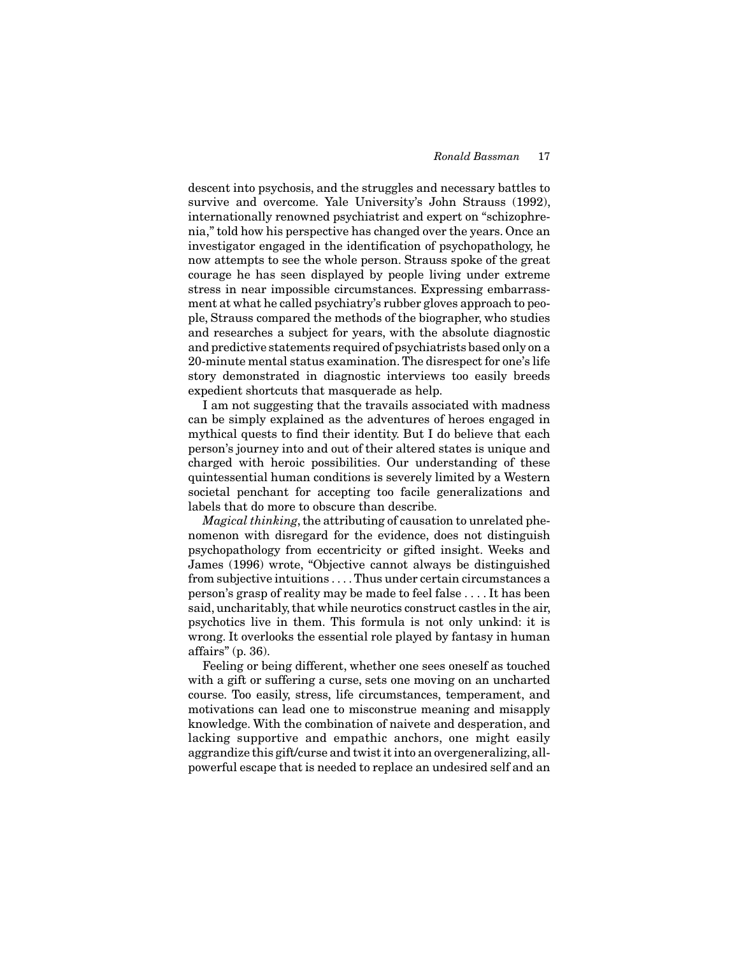descent into psychosis, and the struggles and necessary battles to survive and overcome. Yale University's John Strauss (1992), internationally renowned psychiatrist and expert on "schizophrenia," told how his perspective has changed over the years. Once an investigator engaged in the identification of psychopathology, he now attempts to see the whole person. Strauss spoke of the great courage he has seen displayed by people living under extreme stress in near impossible circumstances. Expressing embarrassment at what he called psychiatry's rubber gloves approach to people, Strauss compared the methods of the biographer, who studies and researches a subject for years, with the absolute diagnostic and predictive statements required of psychiatrists based only on a 20-minute mental status examination. The disrespect for one's life story demonstrated in diagnostic interviews too easily breeds expedient shortcuts that masquerade as help.

I am not suggesting that the travails associated with madness can be simply explained as the adventures of heroes engaged in mythical quests to find their identity. But I do believe that each person's journey into and out of their altered states is unique and charged with heroic possibilities. Our understanding of these quintessential human conditions is severely limited by a Western societal penchant for accepting too facile generalizations and labels that do more to obscure than describe.

*Magical thinking*, the attributing of causation to unrelated phenomenon with disregard for the evidence, does not distinguish psychopathology from eccentricity or gifted insight. Weeks and James (1996) wrote, "Objective cannot always be distinguished from subjective intuitions ....Thus under certain circumstances a person's grasp of reality may be made to feel false . . . . It has been said, uncharitably, that while neurotics construct castles in the air, psychotics live in them. This formula is not only unkind: it is wrong. It overlooks the essential role played by fantasy in human affairs" (p. 36).

Feeling or being different, whether one sees oneself as touched with a gift or suffering a curse, sets one moving on an uncharted course. Too easily, stress, life circumstances, temperament, and motivations can lead one to misconstrue meaning and misapply knowledge. With the combination of naivete and desperation, and lacking supportive and empathic anchors, one might easily aggrandize this gift/curse and twist it into an overgeneralizing, allpowerful escape that is needed to replace an undesired self and an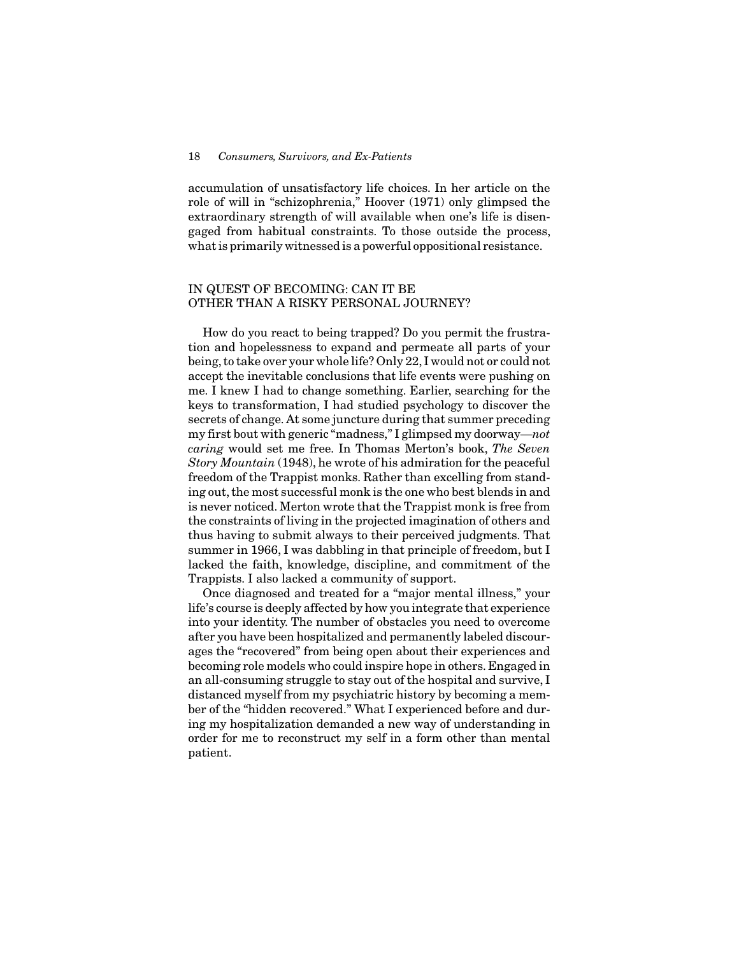accumulation of unsatisfactory life choices. In her article on the role of will in "schizophrenia," Hoover (1971) only glimpsed the extraordinary strength of will available when one's life is disengaged from habitual constraints. To those outside the process, what is primarily witnessed is a powerful oppositional resistance.

# IN QUEST OF BECOMING: CAN IT BE OTHER THAN A RISKY PERSONAL JOURNEY?

How do you react to being trapped? Do you permit the frustration and hopelessness to expand and permeate all parts of your being, to take over your whole life? Only 22, I would not or could not accept the inevitable conclusions that life events were pushing on me. I knew I had to change something. Earlier, searching for the keys to transformation, I had studied psychology to discover the secrets of change. At some juncture during that summer preceding my first bout with generic "madness," I glimpsed my doorway—*not caring* would set me free. In Thomas Merton's book, *The Seven Story Mountain* (1948), he wrote of his admiration for the peaceful freedom of the Trappist monks. Rather than excelling from standing out, the most successful monk is the one who best blends in and is never noticed. Merton wrote that the Trappist monk is free from the constraints of living in the projected imagination of others and thus having to submit always to their perceived judgments. That summer in 1966, I was dabbling in that principle of freedom, but I lacked the faith, knowledge, discipline, and commitment of the Trappists. I also lacked a community of support.

Once diagnosed and treated for a "major mental illness," your life's course is deeply affected by how you integrate that experience into your identity. The number of obstacles you need to overcome after you have been hospitalized and permanently labeled discourages the "recovered" from being open about their experiences and becoming role models who could inspire hope in others. Engaged in an all-consuming struggle to stay out of the hospital and survive, I distanced myself from my psychiatric history by becoming a member of the "hidden recovered." What I experienced before and during my hospitalization demanded a new way of understanding in order for me to reconstruct my self in a form other than mental patient.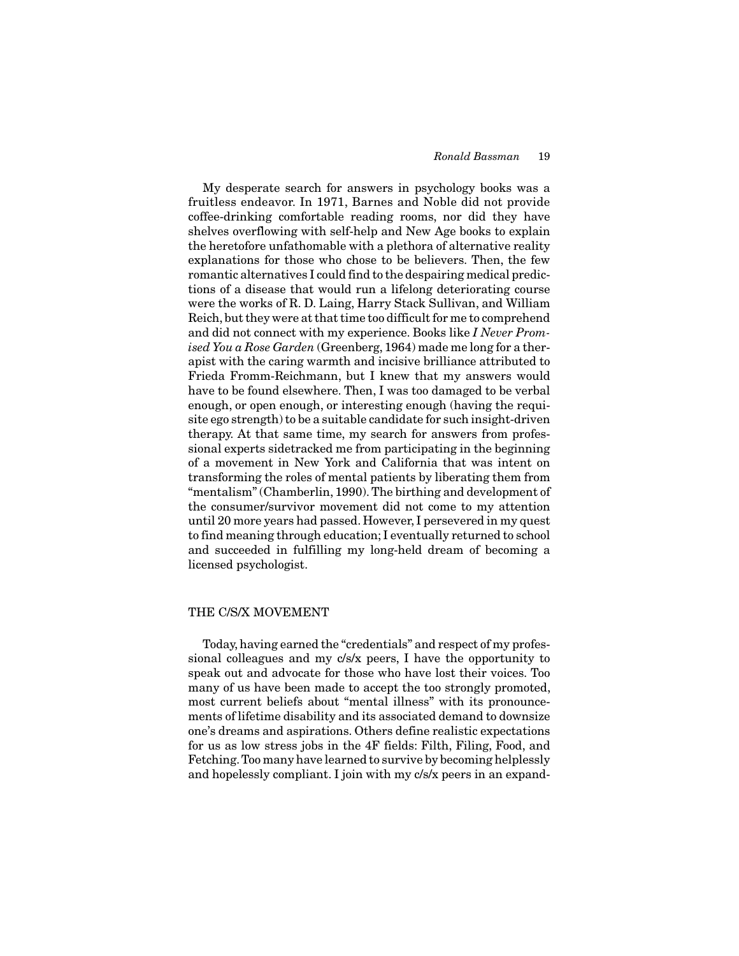My desperate search for answers in psychology books was a fruitless endeavor. In 1971, Barnes and Noble did not provide coffee-drinking comfortable reading rooms, nor did they have shelves overflowing with self-help and New Age books to explain the heretofore unfathomable with a plethora of alternative reality explanations for those who chose to be believers. Then, the few romantic alternatives I could find to the despairing medical predictions of a disease that would run a lifelong deteriorating course were the works of R. D. Laing, Harry Stack Sullivan, and William Reich, but they were at that time too difficult for me to comprehend and did not connect with my experience. Books like *I Never Promised You a Rose Garden* (Greenberg, 1964) made me long for a therapist with the caring warmth and incisive brilliance attributed to Frieda Fromm-Reichmann, but I knew that my answers would have to be found elsewhere. Then, I was too damaged to be verbal enough, or open enough, or interesting enough (having the requisite ego strength) to be a suitable candidate for such insight-driven therapy. At that same time, my search for answers from professional experts sidetracked me from participating in the beginning of a movement in New York and California that was intent on transforming the roles of mental patients by liberating them from "mentalism" (Chamberlin, 1990). The birthing and development of the consumer/survivor movement did not come to my attention until 20 more years had passed. However, I persevered in my quest to find meaning through education; I eventually returned to school and succeeded in fulfilling my long-held dream of becoming a licensed psychologist.

### THE C/S/X MOVEMENT

Today, having earned the "credentials" and respect of my professional colleagues and my c/s/x peers, I have the opportunity to speak out and advocate for those who have lost their voices. Too many of us have been made to accept the too strongly promoted, most current beliefs about "mental illness" with its pronouncements of lifetime disability and its associated demand to downsize one's dreams and aspirations. Others define realistic expectations for us as low stress jobs in the 4F fields: Filth, Filing, Food, and Fetching.Too many have learned to survive by becoming helplessly and hopelessly compliant. I join with my c/s/x peers in an expand-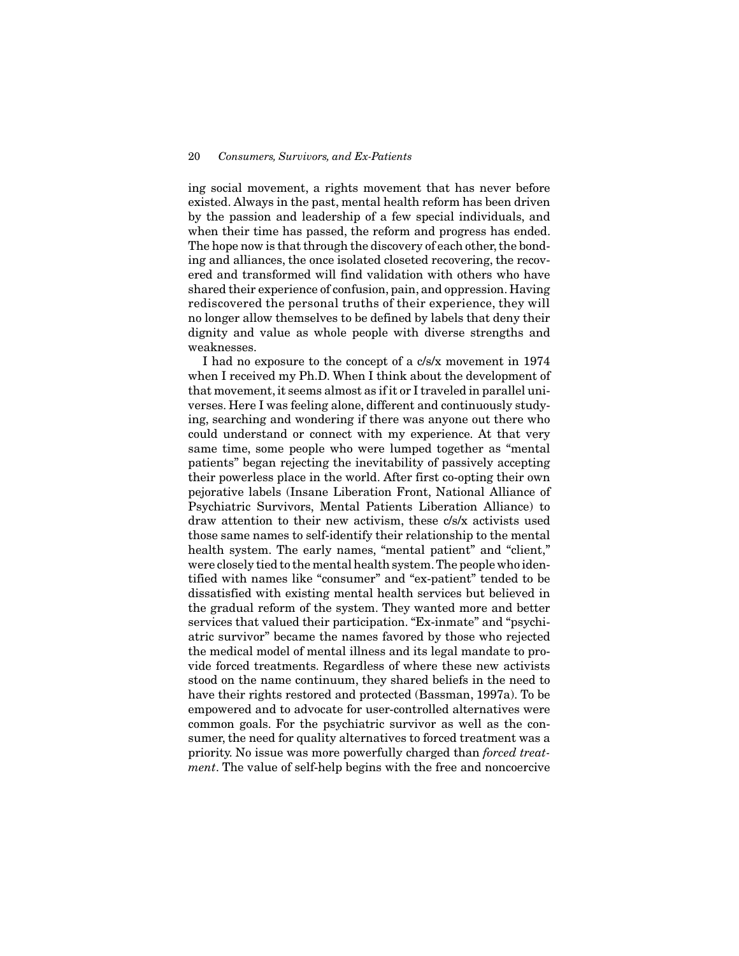ing social movement, a rights movement that has never before existed. Always in the past, mental health reform has been driven by the passion and leadership of a few special individuals, and when their time has passed, the reform and progress has ended. The hope now is that through the discovery of each other, the bonding and alliances, the once isolated closeted recovering, the recovered and transformed will find validation with others who have shared their experience of confusion, pain, and oppression. Having rediscovered the personal truths of their experience, they will no longer allow themselves to be defined by labels that deny their dignity and value as whole people with diverse strengths and weaknesses.

I had no exposure to the concept of a c/s/x movement in 1974 when I received my Ph.D. When I think about the development of that movement, it seems almost as if it or I traveled in parallel universes. Here I was feeling alone, different and continuously studying, searching and wondering if there was anyone out there who could understand or connect with my experience. At that very same time, some people who were lumped together as "mental patients" began rejecting the inevitability of passively accepting their powerless place in the world. After first co-opting their own pejorative labels (Insane Liberation Front, National Alliance of Psychiatric Survivors, Mental Patients Liberation Alliance) to draw attention to their new activism, these c/s/x activists used those same names to self-identify their relationship to the mental health system. The early names, "mental patient" and "client," were closely tied to the mental health system.The people who identified with names like "consumer" and "ex-patient" tended to be dissatisfied with existing mental health services but believed in the gradual reform of the system. They wanted more and better services that valued their participation. "Ex-inmate" and "psychiatric survivor" became the names favored by those who rejected the medical model of mental illness and its legal mandate to provide forced treatments. Regardless of where these new activists stood on the name continuum, they shared beliefs in the need to have their rights restored and protected (Bassman, 1997a). To be empowered and to advocate for user-controlled alternatives were common goals. For the psychiatric survivor as well as the consumer, the need for quality alternatives to forced treatment was a priority. No issue was more powerfully charged than *forced treatment*. The value of self-help begins with the free and noncoercive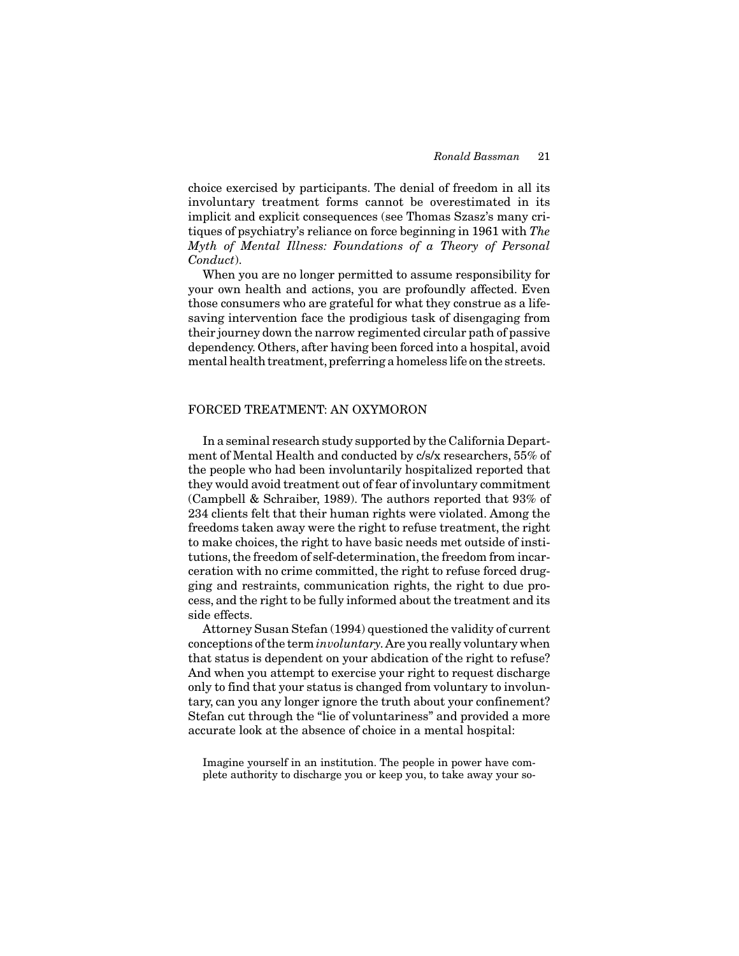choice exercised by participants. The denial of freedom in all its involuntary treatment forms cannot be overestimated in its implicit and explicit consequences (see Thomas Szasz's many critiques of psychiatry's reliance on force beginning in 1961 with *The Myth of Mental Illness: Foundations of a Theory of Personal Conduct*).

When you are no longer permitted to assume responsibility for your own health and actions, you are profoundly affected. Even those consumers who are grateful for what they construe as a lifesaving intervention face the prodigious task of disengaging from their journey down the narrow regimented circular path of passive dependency. Others, after having been forced into a hospital, avoid mental health treatment, preferring a homeless life on the streets.

# FORCED TREATMENT: AN OXYMORON

In a seminal research study supported by the California Department of Mental Health and conducted by c/s/x researchers, 55% of the people who had been involuntarily hospitalized reported that they would avoid treatment out of fear of involuntary commitment (Campbell & Schraiber, 1989). The authors reported that 93% of 234 clients felt that their human rights were violated. Among the freedoms taken away were the right to refuse treatment, the right to make choices, the right to have basic needs met outside of institutions, the freedom of self-determination, the freedom from incarceration with no crime committed, the right to refuse forced drugging and restraints, communication rights, the right to due process, and the right to be fully informed about the treatment and its side effects.

Attorney Susan Stefan (1994) questioned the validity of current conceptions of the term *involuntary*.Are you really voluntary when that status is dependent on your abdication of the right to refuse? And when you attempt to exercise your right to request discharge only to find that your status is changed from voluntary to involuntary, can you any longer ignore the truth about your confinement? Stefan cut through the "lie of voluntariness" and provided a more accurate look at the absence of choice in a mental hospital:

Imagine yourself in an institution. The people in power have complete authority to discharge you or keep you, to take away your so-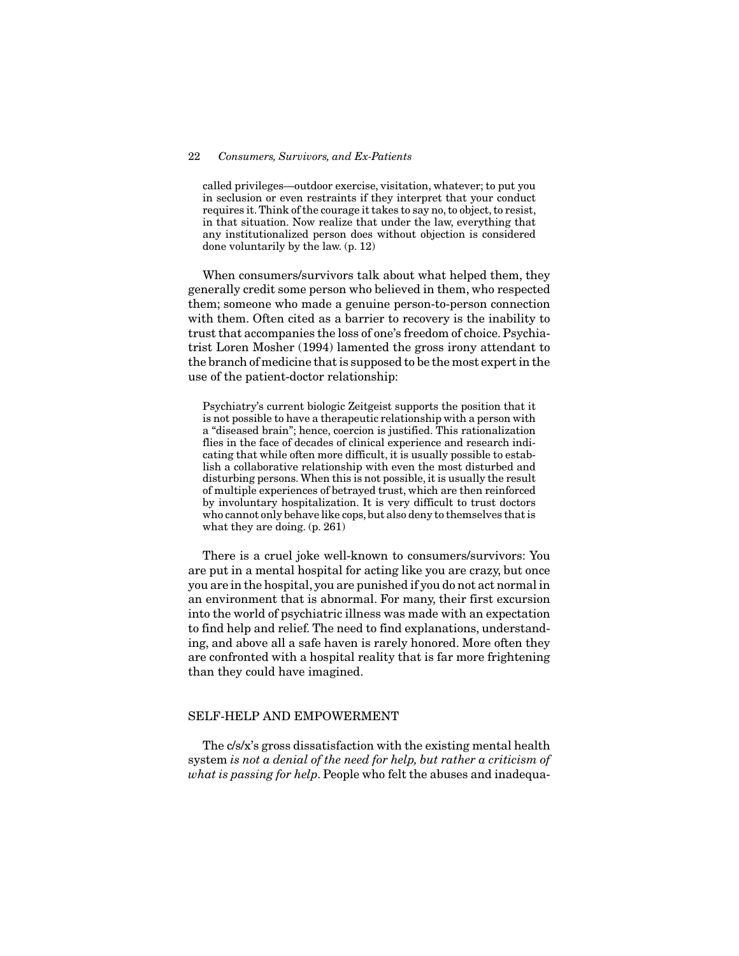called privileges—outdoor exercise, visitation, whatever; to put you in seclusion or even restraints if they interpret that your conduct requires it. Think of the courage it takes to say no, to object, to resist, in that situation. Now realize that under the law, everything that any institutionalized person does without objection is considered done voluntarily by the law. (p. 12)

When consumers/survivors talk about what helped them, they generally credit some person who believed in them, who respected them; someone who made a genuine person-to-person connection with them. Often cited as a barrier to recovery is the inability to trust that accompanies the loss of one's freedom of choice. Psychiatrist Loren Mosher (1994) lamented the gross irony attendant to the branch of medicine that is supposed to be the most expert in the use of the patient-doctor relationship:

Psychiatry's current biologic Zeitgeist supports the position that it is not possible to have a therapeutic relationship with a person with a "diseased brain"; hence, coercion is justified. This rationalization flies in the face of decades of clinical experience and research indicating that while often more difficult, it is usually possible to establish a collaborative relationship with even the most disturbed and disturbing persons. When this is not possible, it is usually the result of multiple experiences of betrayed trust, which are then reinforced by involuntary hospitalization. It is very difficult to trust doctors who cannot only behave like cops, but also deny to themselves that is what they are doing. (p. 261)

There is a cruel joke well-known to consumers/survivors: You are put in a mental hospital for acting like you are crazy, but once you are in the hospital, you are punished if you do not act normal in an environment that is abnormal. For many, their first excursion into the world of psychiatric illness was made with an expectation to find help and relief. The need to find explanations, understanding, and above all a safe haven is rarely honored. More often they are confronted with a hospital reality that is far more frightening than they could have imagined.

# SELF-HELP AND EMPOWERMENT

The c/s/x's gross dissatisfaction with the existing mental health system *is not a denial of the need for help, but rather a criticism of what is passing for help*. People who felt the abuses and inadequa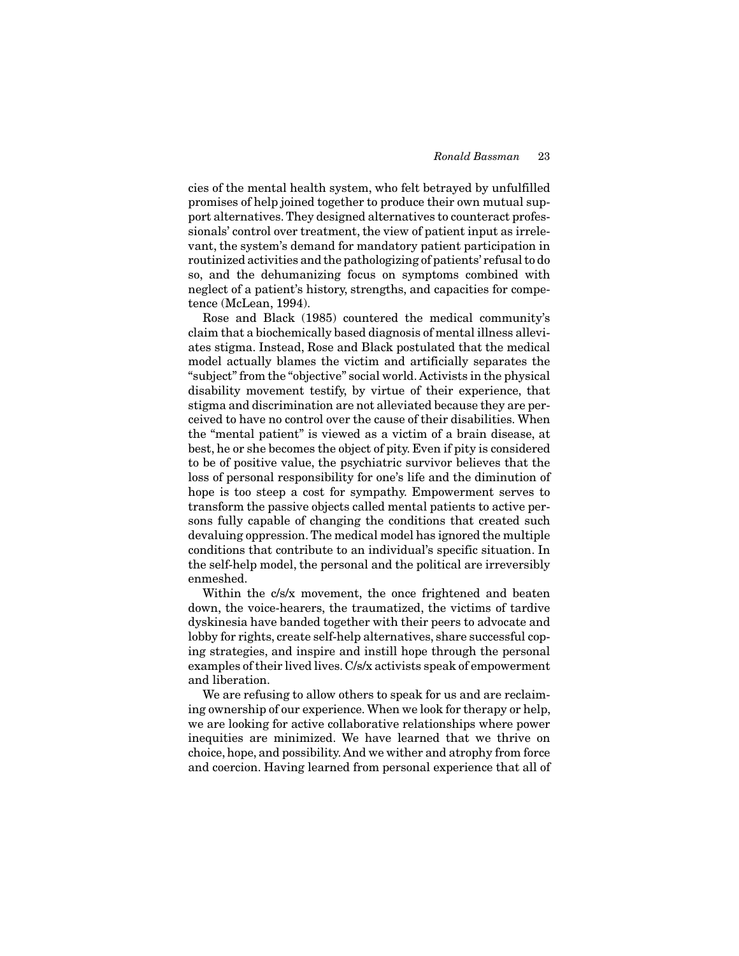cies of the mental health system, who felt betrayed by unfulfilled promises of help joined together to produce their own mutual support alternatives. They designed alternatives to counteract professionals' control over treatment, the view of patient input as irrelevant, the system's demand for mandatory patient participation in routinized activities and the pathologizing of patients' refusal to do so, and the dehumanizing focus on symptoms combined with neglect of a patient's history, strengths, and capacities for competence (McLean, 1994).

Rose and Black (1985) countered the medical community's claim that a biochemically based diagnosis of mental illness alleviates stigma. Instead, Rose and Black postulated that the medical model actually blames the victim and artificially separates the "subject" from the "objective" social world. Activists in the physical disability movement testify, by virtue of their experience, that stigma and discrimination are not alleviated because they are perceived to have no control over the cause of their disabilities. When the "mental patient" is viewed as a victim of a brain disease, at best, he or she becomes the object of pity. Even if pity is considered to be of positive value, the psychiatric survivor believes that the loss of personal responsibility for one's life and the diminution of hope is too steep a cost for sympathy. Empowerment serves to transform the passive objects called mental patients to active persons fully capable of changing the conditions that created such devaluing oppression. The medical model has ignored the multiple conditions that contribute to an individual's specific situation. In the self-help model, the personal and the political are irreversibly enmeshed.

Within the c/s/x movement, the once frightened and beaten down, the voice-hearers, the traumatized, the victims of tardive dyskinesia have banded together with their peers to advocate and lobby for rights, create self-help alternatives, share successful coping strategies, and inspire and instill hope through the personal examples of their lived lives. C/s/x activists speak of empowerment and liberation.

We are refusing to allow others to speak for us and are reclaiming ownership of our experience. When we look for therapy or help, we are looking for active collaborative relationships where power inequities are minimized. We have learned that we thrive on choice, hope, and possibility. And we wither and atrophy from force and coercion. Having learned from personal experience that all of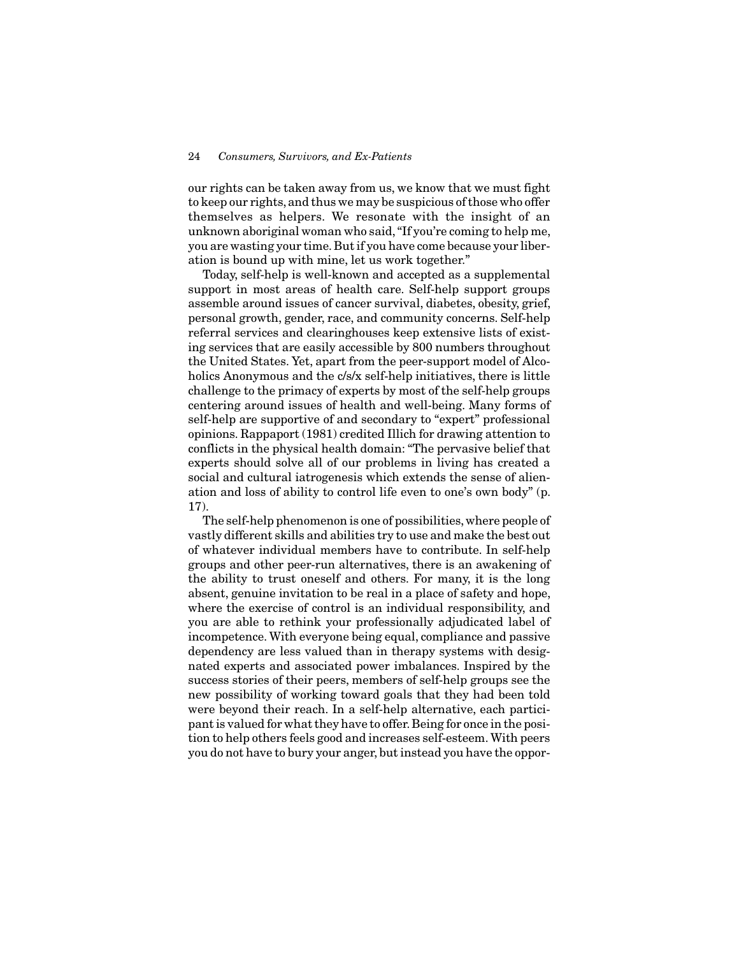our rights can be taken away from us, we know that we must fight to keep our rights,and thus we may be suspicious of those who offer themselves as helpers. We resonate with the insight of an unknown aboriginal woman who said, "If you're coming to help me, you are wasting your time.But if you have come because your liberation is bound up with mine, let us work together."

Today, self-help is well-known and accepted as a supplemental support in most areas of health care. Self-help support groups assemble around issues of cancer survival, diabetes, obesity, grief, personal growth, gender, race, and community concerns. Self-help referral services and clearinghouses keep extensive lists of existing services that are easily accessible by 800 numbers throughout the United States. Yet, apart from the peer-support model of Alcoholics Anonymous and the c/s/x self-help initiatives, there is little challenge to the primacy of experts by most of the self-help groups centering around issues of health and well-being. Many forms of self-help are supportive of and secondary to "expert" professional opinions. Rappaport (1981) credited Illich for drawing attention to conflicts in the physical health domain: "The pervasive belief that experts should solve all of our problems in living has created a social and cultural iatrogenesis which extends the sense of alienation and loss of ability to control life even to one's own body" (p. 17).

The self-help phenomenon is one of possibilities, where people of vastly different skills and abilities try to use and make the best out of whatever individual members have to contribute. In self-help groups and other peer-run alternatives, there is an awakening of the ability to trust oneself and others. For many, it is the long absent, genuine invitation to be real in a place of safety and hope, where the exercise of control is an individual responsibility, and you are able to rethink your professionally adjudicated label of incompetence. With everyone being equal, compliance and passive dependency are less valued than in therapy systems with designated experts and associated power imbalances. Inspired by the success stories of their peers, members of self-help groups see the new possibility of working toward goals that they had been told were beyond their reach. In a self-help alternative, each participant is valued for what they have to offer.Being for once in the position to help others feels good and increases self-esteem. With peers you do not have to bury your anger, but instead you have the oppor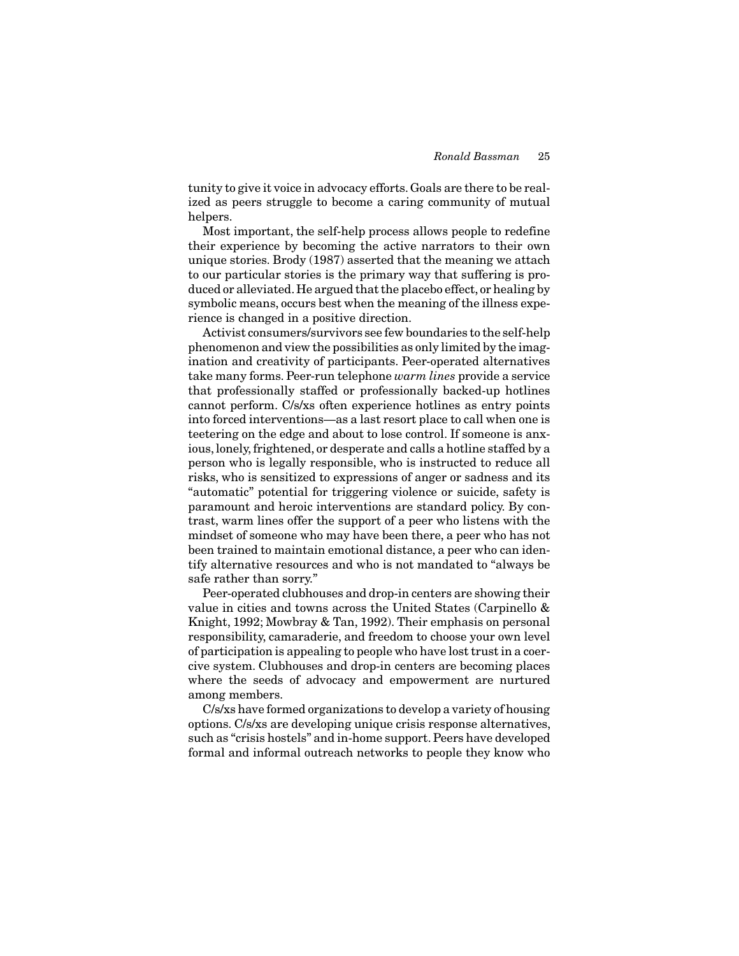tunity to give it voice in advocacy efforts. Goals are there to be realized as peers struggle to become a caring community of mutual helpers.

Most important, the self-help process allows people to redefine their experience by becoming the active narrators to their own unique stories. Brody (1987) asserted that the meaning we attach to our particular stories is the primary way that suffering is produced or alleviated.He argued that the placebo effect,or healing by symbolic means, occurs best when the meaning of the illness experience is changed in a positive direction.

Activist consumers/survivors see few boundaries to the self-help phenomenon and view the possibilities as only limited by the imagination and creativity of participants. Peer-operated alternatives take many forms. Peer-run telephone *warm lines* provide a service that professionally staffed or professionally backed-up hotlines cannot perform. C/s/xs often experience hotlines as entry points into forced interventions—as a last resort place to call when one is teetering on the edge and about to lose control. If someone is anxious, lonely, frightened, or desperate and calls a hotline staffed by a person who is legally responsible, who is instructed to reduce all risks, who is sensitized to expressions of anger or sadness and its "automatic" potential for triggering violence or suicide, safety is paramount and heroic interventions are standard policy. By contrast, warm lines offer the support of a peer who listens with the mindset of someone who may have been there, a peer who has not been trained to maintain emotional distance, a peer who can identify alternative resources and who is not mandated to "always be safe rather than sorry."

Peer-operated clubhouses and drop-in centers are showing their value in cities and towns across the United States (Carpinello & Knight, 1992; Mowbray & Tan, 1992). Their emphasis on personal responsibility, camaraderie, and freedom to choose your own level of participation is appealing to people who have lost trust in a coercive system. Clubhouses and drop-in centers are becoming places where the seeds of advocacy and empowerment are nurtured among members.

C/s/xs have formed organizations to develop a variety of housing options. C/s/xs are developing unique crisis response alternatives, such as "crisis hostels" and in-home support. Peers have developed formal and informal outreach networks to people they know who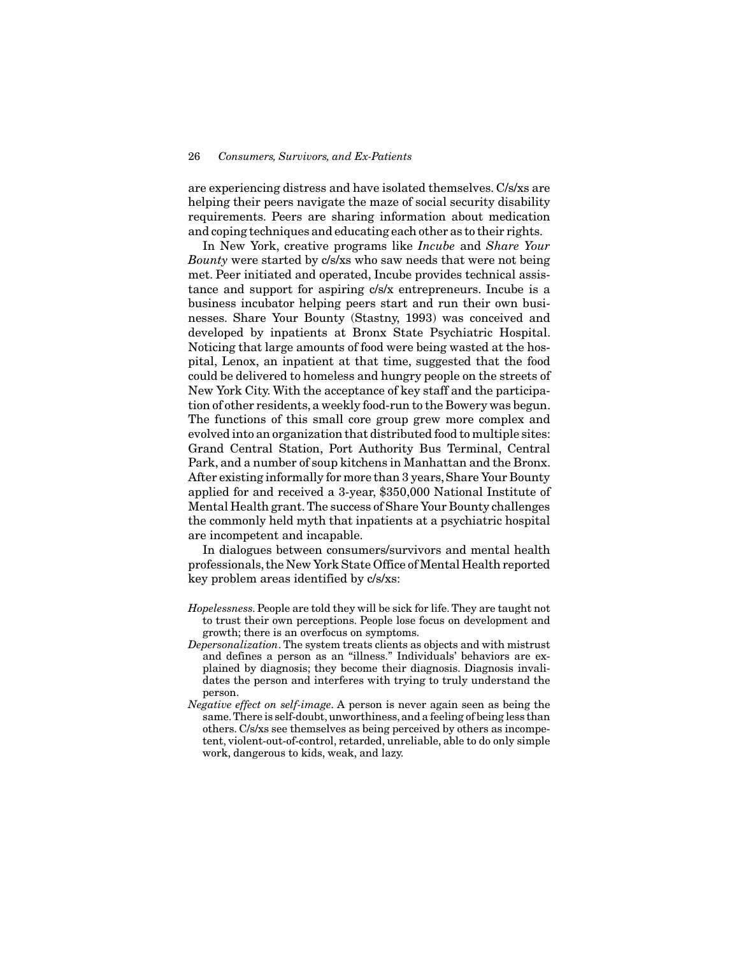are experiencing distress and have isolated themselves. C/s/xs are helping their peers navigate the maze of social security disability requirements. Peers are sharing information about medication and coping techniques and educating each other as to their rights.

In New York, creative programs like *Incube* and *Share Your Bounty* were started by c/s/xs who saw needs that were not being met. Peer initiated and operated, Incube provides technical assistance and support for aspiring c/s/x entrepreneurs. Incube is a business incubator helping peers start and run their own businesses. Share Your Bounty (Stastny, 1993) was conceived and developed by inpatients at Bronx State Psychiatric Hospital. Noticing that large amounts of food were being wasted at the hospital, Lenox, an inpatient at that time, suggested that the food could be delivered to homeless and hungry people on the streets of New York City. With the acceptance of key staff and the participation of other residents, a weekly food-run to the Bowery was begun. The functions of this small core group grew more complex and evolved into an organization that distributed food to multiple sites: Grand Central Station, Port Authority Bus Terminal, Central Park, and a number of soup kitchens in Manhattan and the Bronx. After existing informally for more than 3 years, Share Your Bounty applied for and received a 3-year, \$350,000 National Institute of Mental Health grant. The success of Share Your Bounty challenges the commonly held myth that inpatients at a psychiatric hospital are incompetent and incapable.

In dialogues between consumers/survivors and mental health professionals, the New York State Office of Mental Health reported key problem areas identified by c/s/xs:

- *Hopelessness*. People are told they will be sick for life. They are taught not to trust their own perceptions. People lose focus on development and growth; there is an overfocus on symptoms.
- *Depersonalization*. The system treats clients as objects and with mistrust and defines a person as an "illness." Individuals' behaviors are explained by diagnosis; they become their diagnosis. Diagnosis invalidates the person and interferes with trying to truly understand the person.
- *Negative effect on self-image*. A person is never again seen as being the same.There is self-doubt,unworthiness,and a feeling of being less than others. C/s/xs see themselves as being perceived by others as incompetent, violent-out-of-control, retarded, unreliable, able to do only simple work, dangerous to kids, weak, and lazy.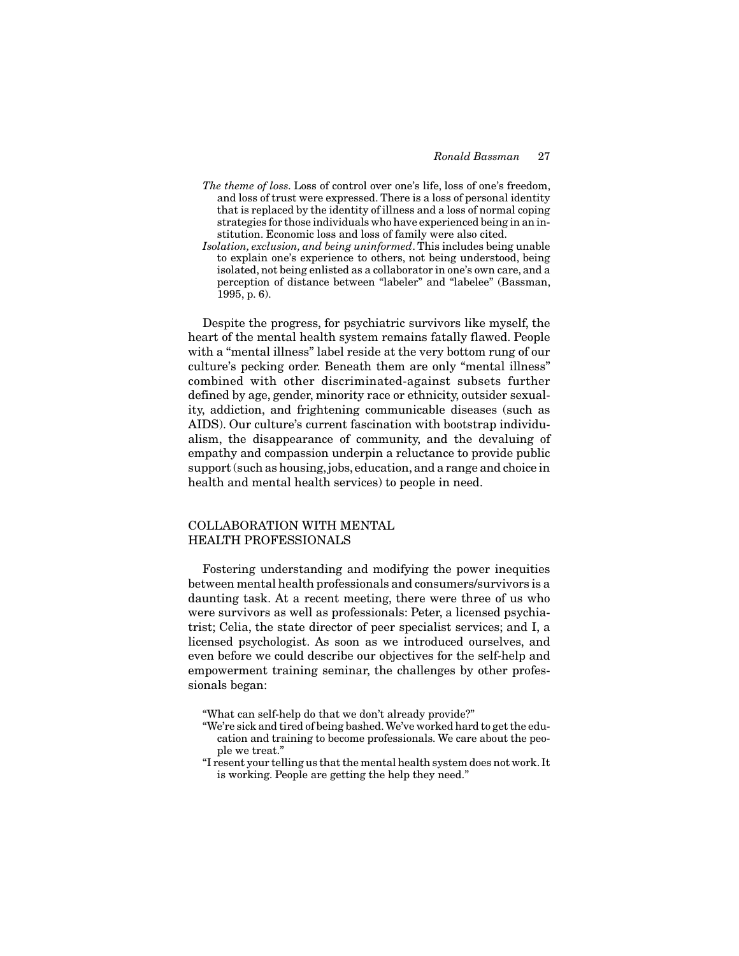- *The theme of loss*. Loss of control over one's life, loss of one's freedom, and loss of trust were expressed. There is a loss of personal identity that is replaced by the identity of illness and a loss of normal coping strategies for those individuals who have experienced being in an institution. Economic loss and loss of family were also cited.
- *Isolation, exclusion, and being uninformed*. This includes being unable to explain one's experience to others, not being understood, being isolated, not being enlisted as a collaborator in one's own care, and a perception of distance between "labeler" and "labelee" (Bassman, 1995, p. 6).

Despite the progress, for psychiatric survivors like myself, the heart of the mental health system remains fatally flawed. People with a "mental illness" label reside at the very bottom rung of our culture's pecking order. Beneath them are only "mental illness" combined with other discriminated-against subsets further defined by age, gender, minority race or ethnicity, outsider sexuality, addiction, and frightening communicable diseases (such as AIDS). Our culture's current fascination with bootstrap individualism, the disappearance of community, and the devaluing of empathy and compassion underpin a reluctance to provide public support (such as housing, jobs, education, and a range and choice in health and mental health services) to people in need.

# COLLABORATION WITH MENTAL HEALTH PROFESSIONALS

Fostering understanding and modifying the power inequities between mental health professionals and consumers/survivors is a daunting task. At a recent meeting, there were three of us who were survivors as well as professionals: Peter, a licensed psychiatrist; Celia, the state director of peer specialist services; and I, a licensed psychologist. As soon as we introduced ourselves, and even before we could describe our objectives for the self-help and empowerment training seminar, the challenges by other professionals began:

- "We're sick and tired of being bashed. We've worked hard to get the education and training to become professionals. We care about the people we treat."
- "I resent your telling us that the mental health system does not work.It is working. People are getting the help they need."

<sup>&</sup>quot;What can self-help do that we don't already provide?"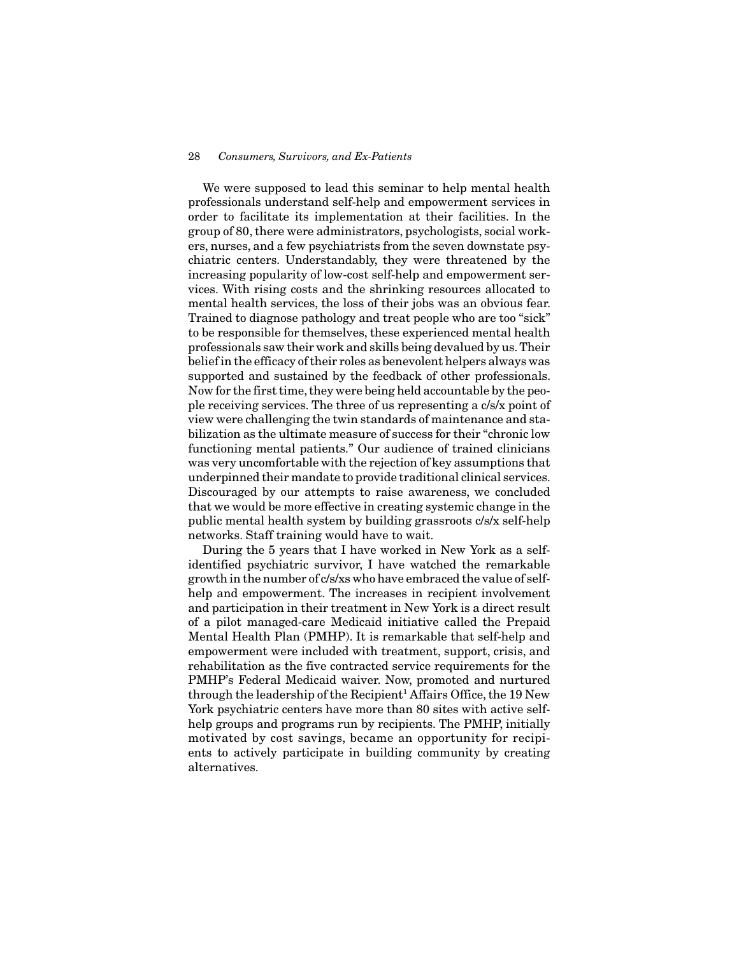We were supposed to lead this seminar to help mental health professionals understand self-help and empowerment services in order to facilitate its implementation at their facilities. In the group of 80, there were administrators, psychologists, social workers, nurses, and a few psychiatrists from the seven downstate psychiatric centers. Understandably, they were threatened by the increasing popularity of low-cost self-help and empowerment services. With rising costs and the shrinking resources allocated to mental health services, the loss of their jobs was an obvious fear. Trained to diagnose pathology and treat people who are too "sick" to be responsible for themselves, these experienced mental health professionals saw their work and skills being devalued by us. Their belief in the efficacy of their roles as benevolent helpers always was supported and sustained by the feedback of other professionals. Now for the first time, they were being held accountable by the people receiving services. The three of us representing a c/s/x point of view were challenging the twin standards of maintenance and stabilization as the ultimate measure of success for their "chronic low functioning mental patients." Our audience of trained clinicians was very uncomfortable with the rejection of key assumptions that underpinned their mandate to provide traditional clinical services. Discouraged by our attempts to raise awareness, we concluded that we would be more effective in creating systemic change in the public mental health system by building grassroots c/s/x self-help networks. Staff training would have to wait.

During the 5 years that I have worked in New York as a selfidentified psychiatric survivor, I have watched the remarkable growth in the number of c/s/xs who have embraced the value of selfhelp and empowerment. The increases in recipient involvement and participation in their treatment in New York is a direct result of a pilot managed-care Medicaid initiative called the Prepaid Mental Health Plan (PMHP). It is remarkable that self-help and empowerment were included with treatment, support, crisis, and rehabilitation as the five contracted service requirements for the PMHP's Federal Medicaid waiver. Now, promoted and nurtured through the leadership of the Recipient<sup>1</sup> Affairs Office, the 19 New York psychiatric centers have more than 80 sites with active selfhelp groups and programs run by recipients. The PMHP, initially motivated by cost savings, became an opportunity for recipients to actively participate in building community by creating alternatives.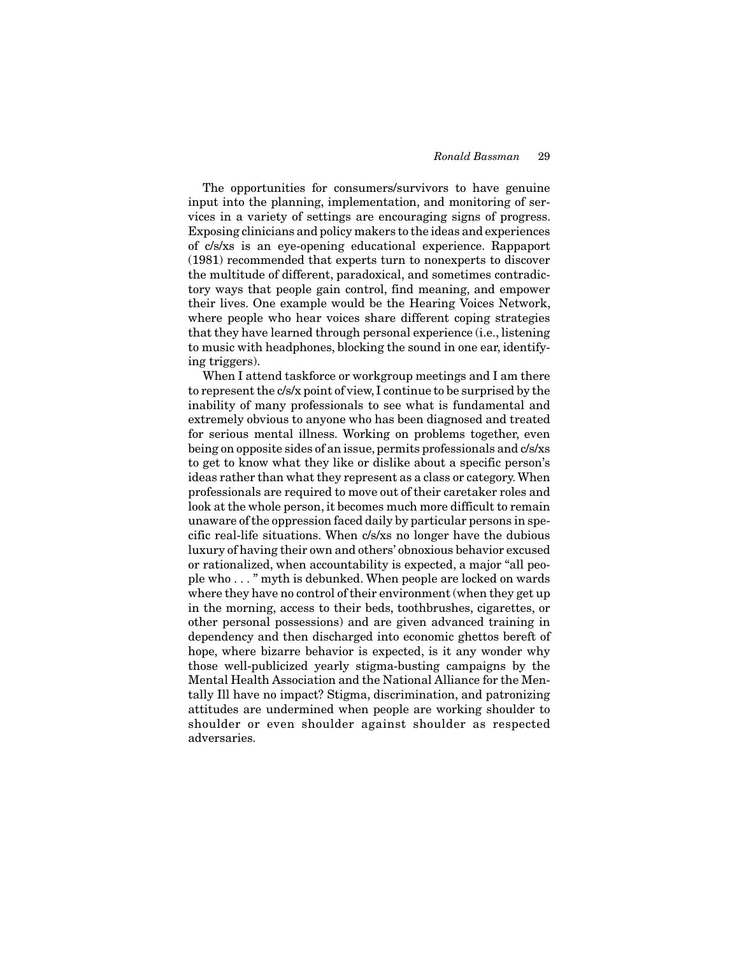The opportunities for consumers/survivors to have genuine input into the planning, implementation, and monitoring of services in a variety of settings are encouraging signs of progress. Exposing clinicians and policy makers to the ideas and experiences of c/s/xs is an eye-opening educational experience. Rappaport (1981) recommended that experts turn to nonexperts to discover the multitude of different, paradoxical, and sometimes contradictory ways that people gain control, find meaning, and empower their lives. One example would be the Hearing Voices Network, where people who hear voices share different coping strategies that they have learned through personal experience (i.e., listening to music with headphones, blocking the sound in one ear, identifying triggers).

When I attend taskforce or workgroup meetings and I am there to represent the c/s/x point of view, I continue to be surprised by the inability of many professionals to see what is fundamental and extremely obvious to anyone who has been diagnosed and treated for serious mental illness. Working on problems together, even being on opposite sides of an issue, permits professionals and c/s/xs to get to know what they like or dislike about a specific person's ideas rather than what they represent as a class or category. When professionals are required to move out of their caretaker roles and look at the whole person, it becomes much more difficult to remain unaware of the oppression faced daily by particular persons in specific real-life situations. When c/s/xs no longer have the dubious luxury of having their own and others' obnoxious behavior excused or rationalized, when accountability is expected, a major "all people who . . . " myth is debunked. When people are locked on wards where they have no control of their environment (when they get up in the morning, access to their beds, toothbrushes, cigarettes, or other personal possessions) and are given advanced training in dependency and then discharged into economic ghettos bereft of hope, where bizarre behavior is expected, is it any wonder why those well-publicized yearly stigma-busting campaigns by the Mental Health Association and the National Alliance for the Mentally Ill have no impact? Stigma, discrimination, and patronizing attitudes are undermined when people are working shoulder to shoulder or even shoulder against shoulder as respected adversaries.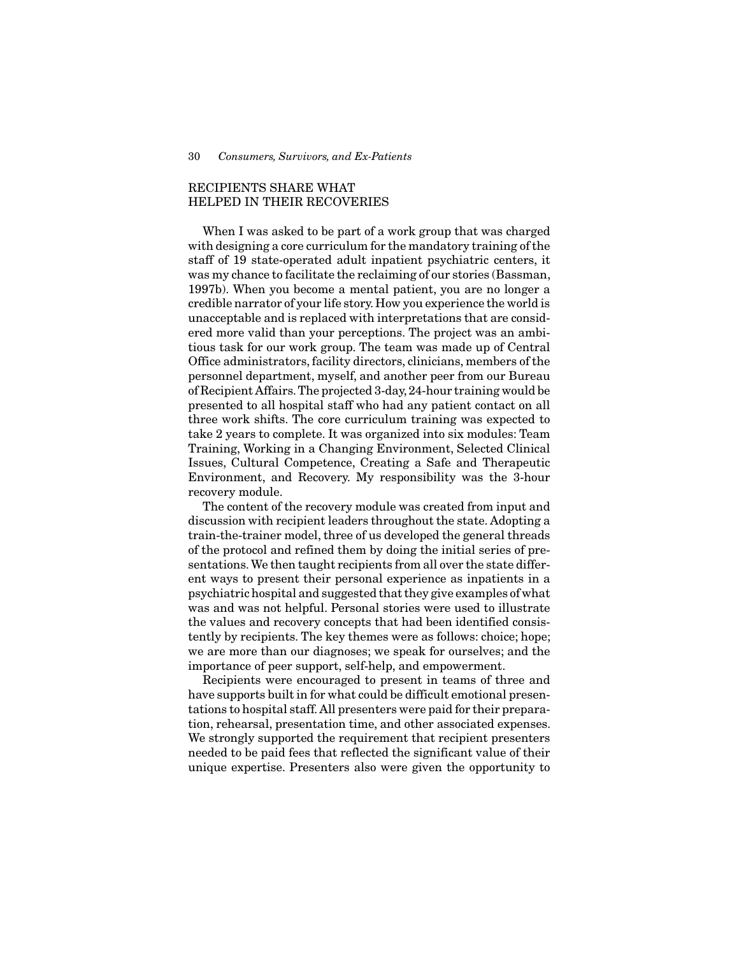# RECIPIENTS SHARE WHAT HELPED IN THEIR RECOVERIES

When I was asked to be part of a work group that was charged with designing a core curriculum for the mandatory training of the staff of 19 state-operated adult inpatient psychiatric centers, it was my chance to facilitate the reclaiming of our stories (Bassman, 1997b). When you become a mental patient, you are no longer a credible narrator of your life story. How you experience the world is unacceptable and is replaced with interpretations that are considered more valid than your perceptions. The project was an ambitious task for our work group. The team was made up of Central Office administrators, facility directors, clinicians, members of the personnel department, myself, and another peer from our Bureau of Recipient Affairs.The projected 3-day,24-hour training would be presented to all hospital staff who had any patient contact on all three work shifts. The core curriculum training was expected to take 2 years to complete. It was organized into six modules: Team Training, Working in a Changing Environment, Selected Clinical Issues, Cultural Competence, Creating a Safe and Therapeutic Environment, and Recovery. My responsibility was the 3-hour recovery module.

The content of the recovery module was created from input and discussion with recipient leaders throughout the state. Adopting a train-the-trainer model, three of us developed the general threads of the protocol and refined them by doing the initial series of presentations. We then taught recipients from all over the state different ways to present their personal experience as inpatients in a psychiatric hospital and suggested that they give examples of what was and was not helpful. Personal stories were used to illustrate the values and recovery concepts that had been identified consistently by recipients. The key themes were as follows: choice; hope; we are more than our diagnoses; we speak for ourselves; and the importance of peer support, self-help, and empowerment.

Recipients were encouraged to present in teams of three and have supports built in for what could be difficult emotional presentations to hospital staff. All presenters were paid for their preparation, rehearsal, presentation time, and other associated expenses. We strongly supported the requirement that recipient presenters needed to be paid fees that reflected the significant value of their unique expertise. Presenters also were given the opportunity to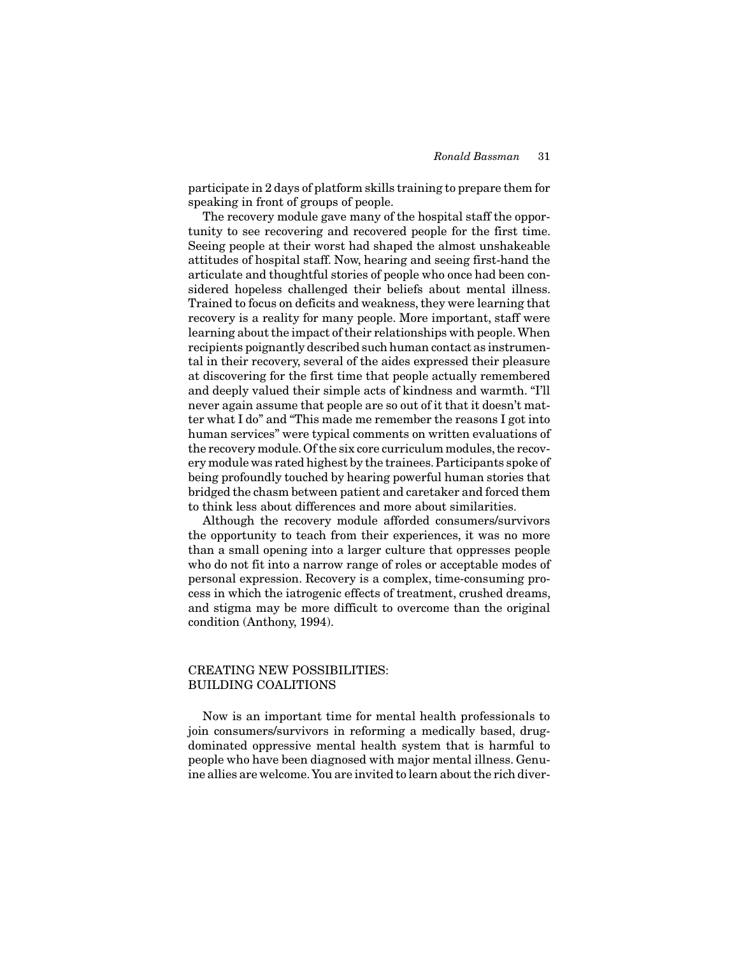participate in 2 days of platform skills training to prepare them for speaking in front of groups of people.

The recovery module gave many of the hospital staff the opportunity to see recovering and recovered people for the first time. Seeing people at their worst had shaped the almost unshakeable attitudes of hospital staff. Now, hearing and seeing first-hand the articulate and thoughtful stories of people who once had been considered hopeless challenged their beliefs about mental illness. Trained to focus on deficits and weakness, they were learning that recovery is a reality for many people. More important, staff were learning about the impact of their relationships with people. When recipients poignantly described such human contact as instrumental in their recovery, several of the aides expressed their pleasure at discovering for the first time that people actually remembered and deeply valued their simple acts of kindness and warmth. "I'll never again assume that people are so out of it that it doesn't matter what I do" and "This made me remember the reasons I got into human services" were typical comments on written evaluations of the recovery module. Of the six core curriculum modules, the recovery module was rated highest by the trainees.Participants spoke of being profoundly touched by hearing powerful human stories that bridged the chasm between patient and caretaker and forced them to think less about differences and more about similarities.

Although the recovery module afforded consumers/survivors the opportunity to teach from their experiences, it was no more than a small opening into a larger culture that oppresses people who do not fit into a narrow range of roles or acceptable modes of personal expression. Recovery is a complex, time-consuming process in which the iatrogenic effects of treatment, crushed dreams, and stigma may be more difficult to overcome than the original condition (Anthony, 1994).

# CREATING NEW POSSIBILITIES: BUILDING COALITIONS

Now is an important time for mental health professionals to join consumers/survivors in reforming a medically based, drugdominated oppressive mental health system that is harmful to people who have been diagnosed with major mental illness. Genuine allies are welcome.You are invited to learn about the rich diver-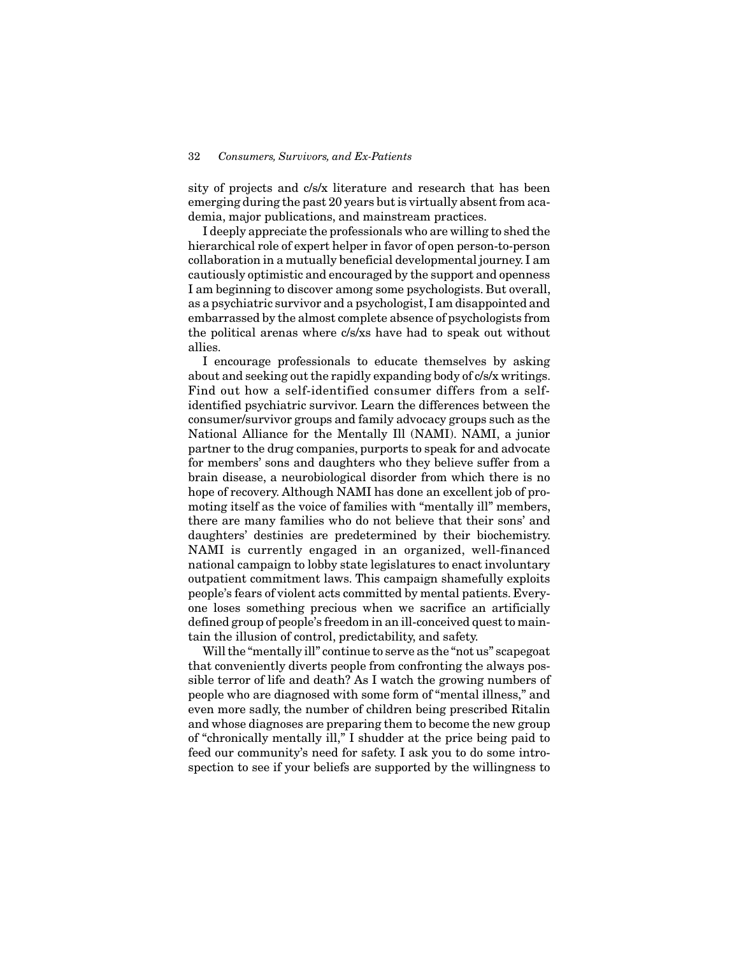sity of projects and c/s/x literature and research that has been emerging during the past 20 years but is virtually absent from academia, major publications, and mainstream practices.

I deeply appreciate the professionals who are willing to shed the hierarchical role of expert helper in favor of open person-to-person collaboration in a mutually beneficial developmental journey. I am cautiously optimistic and encouraged by the support and openness I am beginning to discover among some psychologists. But overall, as a psychiatric survivor and a psychologist, I am disappointed and embarrassed by the almost complete absence of psychologists from the political arenas where c/s/xs have had to speak out without allies.

I encourage professionals to educate themselves by asking about and seeking out the rapidly expanding body of c/s/x writings. Find out how a self-identified consumer differs from a selfidentified psychiatric survivor. Learn the differences between the consumer/survivor groups and family advocacy groups such as the National Alliance for the Mentally Ill (NAMI). NAMI, a junior partner to the drug companies, purports to speak for and advocate for members' sons and daughters who they believe suffer from a brain disease, a neurobiological disorder from which there is no hope of recovery. Although NAMI has done an excellent job of promoting itself as the voice of families with "mentally ill" members, there are many families who do not believe that their sons' and daughters' destinies are predetermined by their biochemistry. NAMI is currently engaged in an organized, well-financed national campaign to lobby state legislatures to enact involuntary outpatient commitment laws. This campaign shamefully exploits people's fears of violent acts committed by mental patients. Everyone loses something precious when we sacrifice an artificially defined group of people's freedom in an ill-conceived quest to maintain the illusion of control, predictability, and safety.

Will the "mentally ill" continue to serve as the "not us" scapegoat that conveniently diverts people from confronting the always possible terror of life and death? As I watch the growing numbers of people who are diagnosed with some form of "mental illness," and even more sadly, the number of children being prescribed Ritalin and whose diagnoses are preparing them to become the new group of "chronically mentally ill," I shudder at the price being paid to feed our community's need for safety. I ask you to do some introspection to see if your beliefs are supported by the willingness to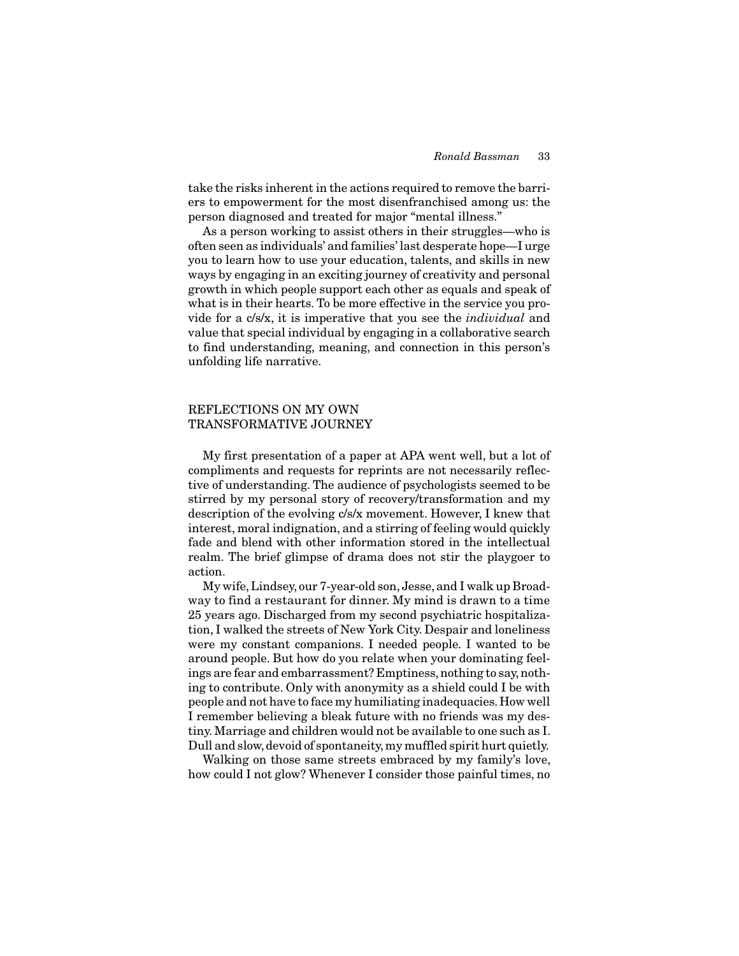take the risks inherent in the actions required to remove the barriers to empowerment for the most disenfranchised among us: the person diagnosed and treated for major "mental illness."

As a person working to assist others in their struggles—who is often seen as individuals' and families' last desperate hope—I urge you to learn how to use your education, talents, and skills in new ways by engaging in an exciting journey of creativity and personal growth in which people support each other as equals and speak of what is in their hearts. To be more effective in the service you provide for a c/s/x, it is imperative that you see the *individual* and value that special individual by engaging in a collaborative search to find understanding, meaning, and connection in this person's unfolding life narrative.

# REFLECTIONS ON MY OWN TRANSFORMATIVE JOURNEY

My first presentation of a paper at APA went well, but a lot of compliments and requests for reprints are not necessarily reflective of understanding. The audience of psychologists seemed to be stirred by my personal story of recovery/transformation and my description of the evolving c/s/x movement. However, I knew that interest, moral indignation, and a stirring of feeling would quickly fade and blend with other information stored in the intellectual realm. The brief glimpse of drama does not stir the playgoer to action.

My wife, Lindsey, our 7-year-old son, Jesse, and I walk up Broadway to find a restaurant for dinner. My mind is drawn to a time 25 years ago. Discharged from my second psychiatric hospitalization, I walked the streets of New York City. Despair and loneliness were my constant companions. I needed people. I wanted to be around people. But how do you relate when your dominating feelings are fear and embarrassment? Emptiness, nothing to say, nothing to contribute. Only with anonymity as a shield could I be with people and not have to face my humiliating inadequacies.How well I remember believing a bleak future with no friends was my destiny. Marriage and children would not be available to one such as I. Dull and slow, devoid of spontaneity, my muffled spirit hurt quietly.

Walking on those same streets embraced by my family's love, how could I not glow? Whenever I consider those painful times, no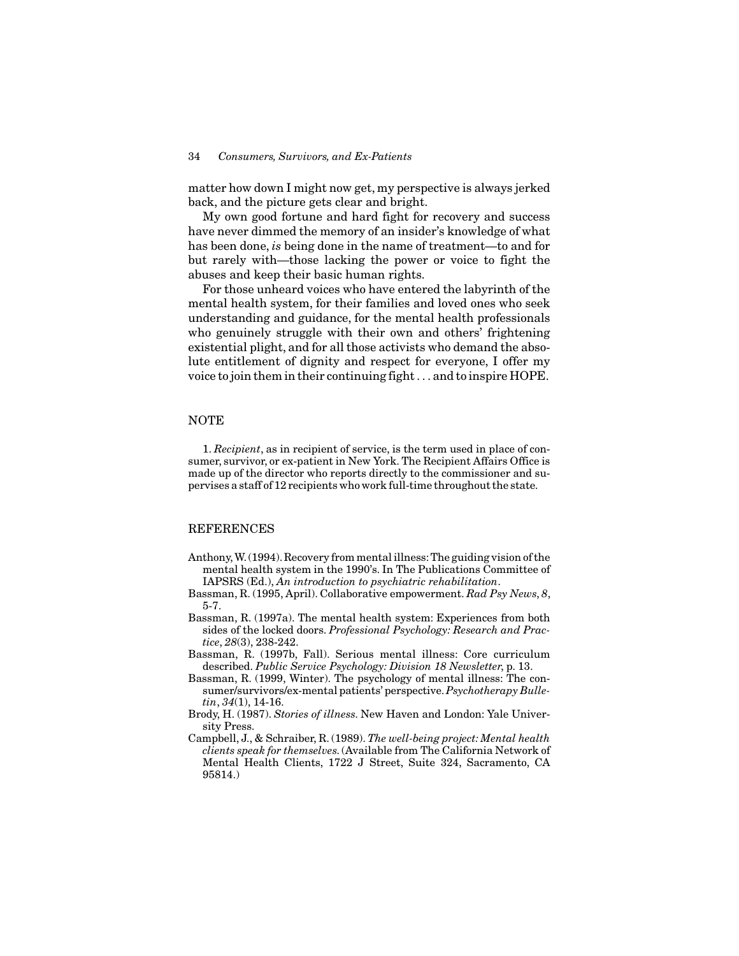matter how down I might now get, my perspective is always jerked back, and the picture gets clear and bright.

My own good fortune and hard fight for recovery and success have never dimmed the memory of an insider's knowledge of what has been done, *is* being done in the name of treatment—to and for but rarely with—those lacking the power or voice to fight the abuses and keep their basic human rights.

For those unheard voices who have entered the labyrinth of the mental health system, for their families and loved ones who seek understanding and guidance, for the mental health professionals who genuinely struggle with their own and others' frightening existential plight, and for all those activists who demand the absolute entitlement of dignity and respect for everyone, I offer my voice to join them in their continuing fight. . . and to inspire HOPE.

### **NOTE**

1. *Recipient*, as in recipient of service, is the term used in place of consumer, survivor, or ex-patient in New York. The Recipient Affairs Office is made up of the director who reports directly to the commissioner and supervises a staff of 12 recipients who work full-time throughout the state.

#### REFERENCES

- Anthony, W. (1994). Recovery from mental illness: The guiding vision of the mental health system in the 1990's. In The Publications Committee of IAPSRS (Ed.), *An introduction to psychiatric rehabilitation*.
- Bassman, R. (1995, April). Collaborative empowerment. *Rad Psy News*, *8*, 5-7.
- Bassman, R. (1997a). The mental health system: Experiences from both sides of the locked doors. *Professional Psychology: Research and Practice*, *28*(3), 238-242.
- Bassman, R. (1997b, Fall). Serious mental illness: Core curriculum described. *Public Service Psychology: Division 18 Newsletter*, p. 13.
- Bassman, R. (1999, Winter). The psychology of mental illness: The consumer/survivors/ex-mental patients' perspective.*Psychotherapy Bulletin*, *34*(1), 14-16.
- Brody, H. (1987). *Stories of illness*. New Haven and London: Yale University Press.
- Campbell, J., & Schraiber, R. (1989). *The well-being project: Mental health clients speak for themselves*. (Available from The California Network of Mental Health Clients, 1722 J Street, Suite 324, Sacramento, CA 95814.)